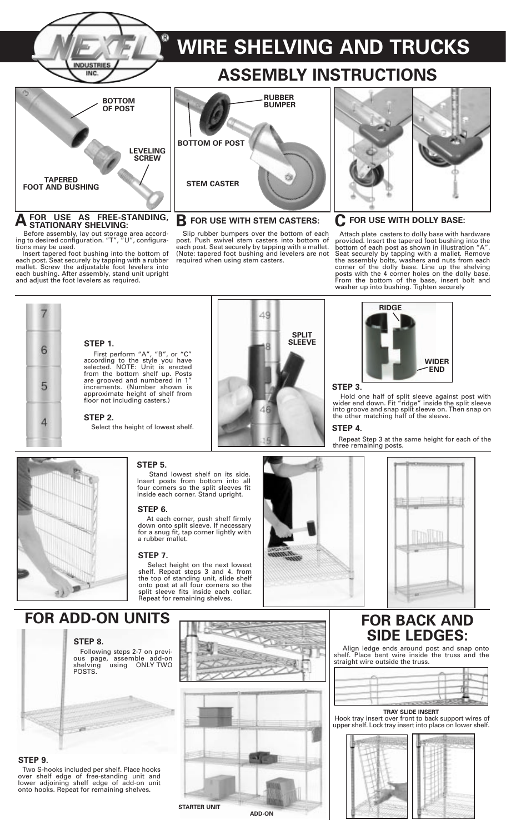

# $\overline{A}$  FOR USE AS FREE-STANDING,  $\overline{B}$  FOR USE WITH STEM CASTERS:  $\overline{C}$  FOR USE WITH DOLLY BASE:

Before assembly, lay out storage area according to desired configuration. "T", "U", configurations may be used.

Insert tapered foot bushing into the bottom of each post. Seat securely by tapping with a rubber mallet. Screw the adjustable foot levelers into each bushing. After assembly, stand unit upright and adjust the foot levelers as required.

## **ASSEMBLY INSTRUCTIONS RUBBER BUMPER**



Slip rubber bumpers over the bottom of each post. Push swivel stem casters into bottom of each post. Seat securely by tapping with a mallet. (Note: tapered foot bushing and levelers are not required when using stem casters.



Attach plate casters to dolly base with hardware provided. Insert the tapered foot bushing into the bottom of each post as shown in illustration "A". Seat securely by tapping with a mallet. Remove the assembly bolts, washers and nuts from each corner of the dolly base. Line up the shelving posts with the 4 corner holes on the dolly base. From the bottom of the base, insert bolt and washer up into bushing. Tighten securely



### **STEP 1.**

First perform "A", "B", or "C" according to the style you have selected. NOTE: Unit is erected from the bottom shelf up. Posts are grooved and numbered in 1" increments. (Number shown is approximate height of shelf from floor not including casters.)

#### **STEP 2.**

Select the height of lowest shelf.





Hold one half of split sleeve against post with wider end down. Fit "ridge" inside the split sleeve into groove and snap split sleeve on. Then snap on the other matching half of the sleeve.

#### **STEP 4.**

Repeat Step 3 at the same height for each of the three remaining posts.



#### **STEP 5.**

Stand lowest shelf on its side. Insert posts from bottom into all four corners so the split sleeves fit inside each corner. Stand upright.

#### **STEP 6.**

At each corner, push shelf firmly down onto split sleeve. If necessary for a snug fit, tap corner lightly with a rubber mallet.

#### **STEP 7.**

Select height on the next lowest shelf. Repeat steps 3 and 4. from the top of standing unit, slide shelf onto post at all four corners so the split sleeve fits inside each collar. Repeat for remaining shelves.





### **FOR ADD-ON UNITS** FOR BACK AND

#### **STEP 8.**

Following steps 2-7 on previous page, assemble add-on shelving using ONLY TWO POSTS.



#### **STEP 9.**

Two S-hooks included per shelf. Place hooks over shelf edge of free-standing unit and lower adjoining shelf edge of add-on unit onto hooks. Repeat for remaining shelves.



# **SIDE LEDGES:**

Align ledge ends around post and snap onto shelf. Place bent wire inside the truss and the straight wire outside the truss.



**TRAY SLIDE INSERT** Hook tray insert over front to back support wires of upper shelf. Lock tray insert into place on lower shelf.